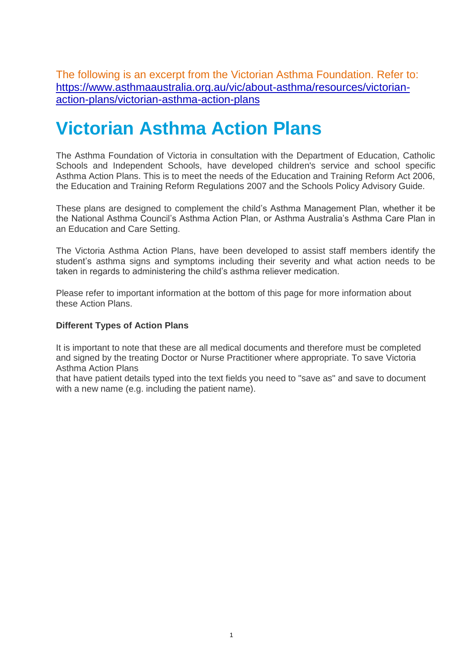The following is an excerpt from the Victorian Asthma Foundation. Refer to: [https://www.asthmaaustralia.org.au/vic/about-asthma/resources/victorian](https://www.asthmaaustralia.org.au/vic/about-asthma/resources/victorian-action-plans/victorian-asthma-action-plans)[action-plans/victorian-asthma-action-plans](https://www.asthmaaustralia.org.au/vic/about-asthma/resources/victorian-action-plans/victorian-asthma-action-plans)

## **Victorian Asthma Action Plans**

The Asthma Foundation of Victoria in consultation with the Department of Education, Catholic Schools and Independent Schools, have developed children's service and school specific Asthma Action Plans. This is to meet the needs of the Education and Training Reform Act 2006, the Education and Training Reform Regulations 2007 and the Schools Policy Advisory Guide.

These plans are designed to complement the child's Asthma Management Plan, whether it be the National Asthma Council's Asthma Action Plan, or Asthma Australia's Asthma Care Plan in an Education and Care Setting.

The Victoria Asthma Action Plans, have been developed to assist staff members identify the student's asthma signs and symptoms including their severity and what action needs to be taken in regards to administering the child's asthma reliever medication.

Please refer to important information at the bottom of this page for more information about these Action Plans.

#### **Different Types of Action Plans**

It is important to note that these are all medical documents and therefore must be completed and signed by the treating Doctor or Nurse Practitioner where appropriate. To save Victoria Asthma Action Plans

that have patient details typed into the text fields you need to "save as" and save to document with a new name (e.g. including the patient name).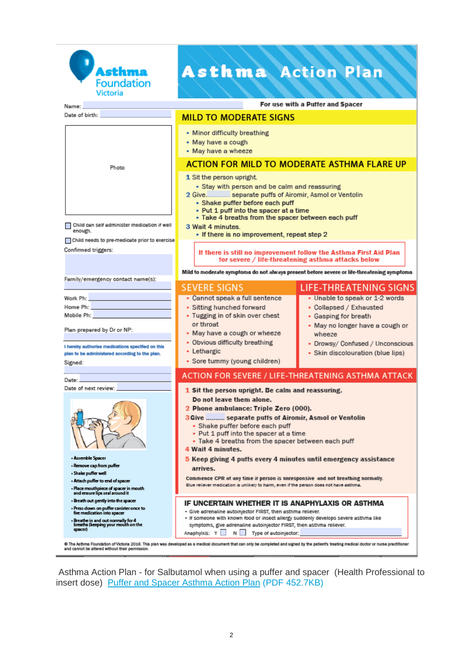

Name: Date of birth:

## **Asthma Action Plan**

For use with a Puffer and Spacer

| 1 Sit the person upright.<br>• Stay with person and be calm and reassuring<br>2 Give separate puffs of Airomir, Asmol or Ventolin<br>• Shake puffer before each puff<br>• Put 1 puff into the spacer at a time<br>• Take 4 breaths from the spacer between each puff<br>Child can self administer medication if well<br>3 Wait 4 minutes.<br>enough.<br>• If there is no improvement, repeat step 2<br>Child needs to pre-medicate prior to exercise<br>Confirmed triggers:<br>If there is still no improvement follow the Asthma First Aid Plan<br>for severe / life-threatening asthma attacks below<br>Mild to moderate symptoms do not always present before severe or life-threatening symptoms<br>Family/emergency contact name(s):<br><b>SEVERE SIGNS</b><br><b>LIFE-THREATENING SIGNS</b><br>• Cannot speak a full sentence<br>• Unable to speak or 1-2 words<br>Work Ph:<br>Home Ph: <b>All Accounts</b><br>• Sitting hunched forward<br>• Collapsed / Exhausted<br>Mobile Ph:<br>• Tugging in of skin over chest<br>• Gasping for breath<br>or throat<br>• May no longer have a cough or<br>Plan prepared by Dr or NP:<br>• May have a cough or wheeze<br>wheeze<br>• Obvious difficulty breathing<br>• Drowsy/ Confused / Unconscious<br>I hereby authorise medications specified on this<br>• Lethargic<br>· Skin discolouration (blue lips)<br>plan to be administered according to the plan.<br>• Sore tummy (young children)<br>Signed:<br><b>ACTION FOR SEVERE / LIFE-THREATENING ASTHMA ATTACK</b><br>Date:<br>Date of next review:<br>1 Sit the person upright. Be calm and reassuring.<br>Do not leave them alone.<br>2 Phone ambulance: Triple Zero (000).<br><b>3 Give  separate puffs of Airomir, Asmol or Ventolin</b><br>• Shake puffer before each puff<br>• Put 1 puff into the spacer at a time<br>• Take 4 breaths from the spacer between each puff<br>4 Wait 4 minutes.<br>- Assemble Spacer<br>5 Keep giving 4 puffs every 4 minutes until emergency assistance<br>- Remove cap from puffer<br>arrives.<br>- Shake puffer well<br>Commence CPR at any time if person is unresponsive and not breathing normally.<br>- Attach puffer to end of spacer<br>Blue reliever medication is unlikely to harm, even if the person does not have asthma.<br>- Place mouthpiece of spacer in mouth<br>and ensure lips seal around it<br>- Breath out gently into the spacer<br>IF UNCERTAIN WHETHER IT IS ANAPHYLAXIS OR ASTHMA<br>- Press down on puffer canister once to<br>- Give adrenaline autoinjector FIRST, then asthma reliever.<br>fire medication into spacer<br>- If someone with known food or insect allergy suddenly develops severe asthma like | Photo                               | <b>ACTION FOR MILD TO MODERATE ASTHMA FLARE UP</b>                                                                              |  |  |
|-------------------------------------------------------------------------------------------------------------------------------------------------------------------------------------------------------------------------------------------------------------------------------------------------------------------------------------------------------------------------------------------------------------------------------------------------------------------------------------------------------------------------------------------------------------------------------------------------------------------------------------------------------------------------------------------------------------------------------------------------------------------------------------------------------------------------------------------------------------------------------------------------------------------------------------------------------------------------------------------------------------------------------------------------------------------------------------------------------------------------------------------------------------------------------------------------------------------------------------------------------------------------------------------------------------------------------------------------------------------------------------------------------------------------------------------------------------------------------------------------------------------------------------------------------------------------------------------------------------------------------------------------------------------------------------------------------------------------------------------------------------------------------------------------------------------------------------------------------------------------------------------------------------------------------------------------------------------------------------------------------------------------------------------------------------------------------------------------------------------------------------------------------------------------------------------------------------------------------------------------------------------------------------------------------------------------------------------------------------------------------------------------------------------------------------------------------------------------------------------------------------------------------------------------------------------------------------------------------------------------------------------------------------------------------------|-------------------------------------|---------------------------------------------------------------------------------------------------------------------------------|--|--|
|                                                                                                                                                                                                                                                                                                                                                                                                                                                                                                                                                                                                                                                                                                                                                                                                                                                                                                                                                                                                                                                                                                                                                                                                                                                                                                                                                                                                                                                                                                                                                                                                                                                                                                                                                                                                                                                                                                                                                                                                                                                                                                                                                                                                                                                                                                                                                                                                                                                                                                                                                                                                                                                                                     |                                     |                                                                                                                                 |  |  |
|                                                                                                                                                                                                                                                                                                                                                                                                                                                                                                                                                                                                                                                                                                                                                                                                                                                                                                                                                                                                                                                                                                                                                                                                                                                                                                                                                                                                                                                                                                                                                                                                                                                                                                                                                                                                                                                                                                                                                                                                                                                                                                                                                                                                                                                                                                                                                                                                                                                                                                                                                                                                                                                                                     |                                     |                                                                                                                                 |  |  |
|                                                                                                                                                                                                                                                                                                                                                                                                                                                                                                                                                                                                                                                                                                                                                                                                                                                                                                                                                                                                                                                                                                                                                                                                                                                                                                                                                                                                                                                                                                                                                                                                                                                                                                                                                                                                                                                                                                                                                                                                                                                                                                                                                                                                                                                                                                                                                                                                                                                                                                                                                                                                                                                                                     |                                     |                                                                                                                                 |  |  |
|                                                                                                                                                                                                                                                                                                                                                                                                                                                                                                                                                                                                                                                                                                                                                                                                                                                                                                                                                                                                                                                                                                                                                                                                                                                                                                                                                                                                                                                                                                                                                                                                                                                                                                                                                                                                                                                                                                                                                                                                                                                                                                                                                                                                                                                                                                                                                                                                                                                                                                                                                                                                                                                                                     |                                     |                                                                                                                                 |  |  |
|                                                                                                                                                                                                                                                                                                                                                                                                                                                                                                                                                                                                                                                                                                                                                                                                                                                                                                                                                                                                                                                                                                                                                                                                                                                                                                                                                                                                                                                                                                                                                                                                                                                                                                                                                                                                                                                                                                                                                                                                                                                                                                                                                                                                                                                                                                                                                                                                                                                                                                                                                                                                                                                                                     |                                     |                                                                                                                                 |  |  |
|                                                                                                                                                                                                                                                                                                                                                                                                                                                                                                                                                                                                                                                                                                                                                                                                                                                                                                                                                                                                                                                                                                                                                                                                                                                                                                                                                                                                                                                                                                                                                                                                                                                                                                                                                                                                                                                                                                                                                                                                                                                                                                                                                                                                                                                                                                                                                                                                                                                                                                                                                                                                                                                                                     |                                     |                                                                                                                                 |  |  |
|                                                                                                                                                                                                                                                                                                                                                                                                                                                                                                                                                                                                                                                                                                                                                                                                                                                                                                                                                                                                                                                                                                                                                                                                                                                                                                                                                                                                                                                                                                                                                                                                                                                                                                                                                                                                                                                                                                                                                                                                                                                                                                                                                                                                                                                                                                                                                                                                                                                                                                                                                                                                                                                                                     |                                     |                                                                                                                                 |  |  |
|                                                                                                                                                                                                                                                                                                                                                                                                                                                                                                                                                                                                                                                                                                                                                                                                                                                                                                                                                                                                                                                                                                                                                                                                                                                                                                                                                                                                                                                                                                                                                                                                                                                                                                                                                                                                                                                                                                                                                                                                                                                                                                                                                                                                                                                                                                                                                                                                                                                                                                                                                                                                                                                                                     |                                     |                                                                                                                                 |  |  |
|                                                                                                                                                                                                                                                                                                                                                                                                                                                                                                                                                                                                                                                                                                                                                                                                                                                                                                                                                                                                                                                                                                                                                                                                                                                                                                                                                                                                                                                                                                                                                                                                                                                                                                                                                                                                                                                                                                                                                                                                                                                                                                                                                                                                                                                                                                                                                                                                                                                                                                                                                                                                                                                                                     |                                     |                                                                                                                                 |  |  |
|                                                                                                                                                                                                                                                                                                                                                                                                                                                                                                                                                                                                                                                                                                                                                                                                                                                                                                                                                                                                                                                                                                                                                                                                                                                                                                                                                                                                                                                                                                                                                                                                                                                                                                                                                                                                                                                                                                                                                                                                                                                                                                                                                                                                                                                                                                                                                                                                                                                                                                                                                                                                                                                                                     |                                     |                                                                                                                                 |  |  |
|                                                                                                                                                                                                                                                                                                                                                                                                                                                                                                                                                                                                                                                                                                                                                                                                                                                                                                                                                                                                                                                                                                                                                                                                                                                                                                                                                                                                                                                                                                                                                                                                                                                                                                                                                                                                                                                                                                                                                                                                                                                                                                                                                                                                                                                                                                                                                                                                                                                                                                                                                                                                                                                                                     |                                     |                                                                                                                                 |  |  |
|                                                                                                                                                                                                                                                                                                                                                                                                                                                                                                                                                                                                                                                                                                                                                                                                                                                                                                                                                                                                                                                                                                                                                                                                                                                                                                                                                                                                                                                                                                                                                                                                                                                                                                                                                                                                                                                                                                                                                                                                                                                                                                                                                                                                                                                                                                                                                                                                                                                                                                                                                                                                                                                                                     |                                     | symptoms, give adrenaline autoinjector FIRST, then asthma reliever.<br>Anaphylxis: Y<br>N <sub>1</sub><br>Type of autoinjector: |  |  |
| breaths (keeping your mouth on the<br>spacer)<br>@ The Asthma Foundation of Victoria 2016. This plan was developed as a medical document that can only be completed and signed by the patient's treating medical doctor or nurse practitioner<br>and cannot be altered without their permission.                                                                                                                                                                                                                                                                                                                                                                                                                                                                                                                                                                                                                                                                                                                                                                                                                                                                                                                                                                                                                                                                                                                                                                                                                                                                                                                                                                                                                                                                                                                                                                                                                                                                                                                                                                                                                                                                                                                                                                                                                                                                                                                                                                                                                                                                                                                                                                                    | - Breathe in and out normally for 4 |                                                                                                                                 |  |  |

**MILD TO MODERATE SIGNS** 

• Minor difficulty breathing • May have a cough • May have a wheeze

Asthma Action Plan - for Salbutamol when using a puffer and spacer (Health Professional to insert dose) [Puffer and Spacer Asthma Action Plan](https://www.asthmaaustralia.org.au/ArticleDocuments/1701/Asthma_Action_Plan_for_Victorian_Puffer%20and%20Spacer.pdf.aspx) (PDF 452.7KB)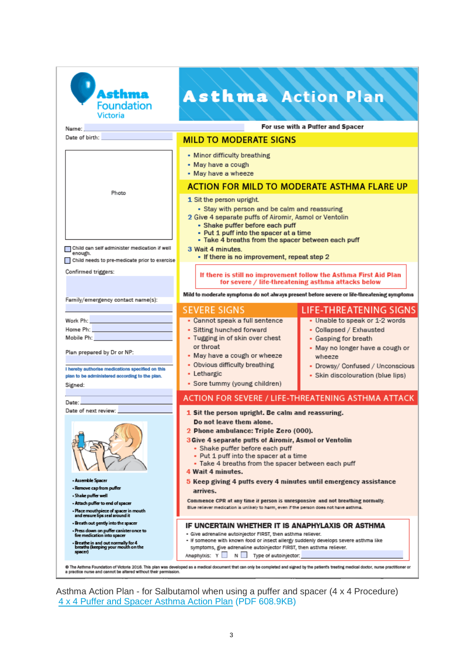| Asthma<br><b>Foundation</b><br><b>Victoria</b><br>Name:                                                                                                                                                                                                                                                                                                                                                                                                                                                                                   | <b>Asthma Action Plan</b>                                                                                                                                                                                                                                                                                                                                                                                                                                                                                                                                                                                                                                                                                                                                                                                                                                                                                                           | For use with a Puffer and Spacer                                                                                                                                |  |  |
|-------------------------------------------------------------------------------------------------------------------------------------------------------------------------------------------------------------------------------------------------------------------------------------------------------------------------------------------------------------------------------------------------------------------------------------------------------------------------------------------------------------------------------------------|-------------------------------------------------------------------------------------------------------------------------------------------------------------------------------------------------------------------------------------------------------------------------------------------------------------------------------------------------------------------------------------------------------------------------------------------------------------------------------------------------------------------------------------------------------------------------------------------------------------------------------------------------------------------------------------------------------------------------------------------------------------------------------------------------------------------------------------------------------------------------------------------------------------------------------------|-----------------------------------------------------------------------------------------------------------------------------------------------------------------|--|--|
| Date of birth:                                                                                                                                                                                                                                                                                                                                                                                                                                                                                                                            | <b>MILD TO MODERATE SIGNS</b>                                                                                                                                                                                                                                                                                                                                                                                                                                                                                                                                                                                                                                                                                                                                                                                                                                                                                                       |                                                                                                                                                                 |  |  |
|                                                                                                                                                                                                                                                                                                                                                                                                                                                                                                                                           | • Minor difficulty breathing<br>• May have a cough<br>• May have a wheeze                                                                                                                                                                                                                                                                                                                                                                                                                                                                                                                                                                                                                                                                                                                                                                                                                                                           |                                                                                                                                                                 |  |  |
| Photo                                                                                                                                                                                                                                                                                                                                                                                                                                                                                                                                     | <b>ACTION FOR MILD TO MODERATE ASTHMA FLARE UP</b><br>1 Sit the person upright.<br>· Stay with person and be calm and reassuring<br>2 Give 4 separate puffs of Airomir, Asmol or Ventolin<br>• Shake puffer before each puff<br>• Put 1 puff into the spacer at a time<br>- Take 4 breaths from the spacer between each puff                                                                                                                                                                                                                                                                                                                                                                                                                                                                                                                                                                                                        |                                                                                                                                                                 |  |  |
| Child can self administer medication if well<br>enough.<br>Child needs to pre-medicate prior to exercise                                                                                                                                                                                                                                                                                                                                                                                                                                  | 3 Wait 4 minutes.<br>• If there is no improvement, repeat step 2<br>If there is still no improvement follow the Asthma First Aid Plan<br>for severe / life-threatening asthma attacks below<br>Mild to moderate symptoms do not always present before severe or life-threatening symptoms                                                                                                                                                                                                                                                                                                                                                                                                                                                                                                                                                                                                                                           |                                                                                                                                                                 |  |  |
| Confirmed triggers:                                                                                                                                                                                                                                                                                                                                                                                                                                                                                                                       |                                                                                                                                                                                                                                                                                                                                                                                                                                                                                                                                                                                                                                                                                                                                                                                                                                                                                                                                     |                                                                                                                                                                 |  |  |
| Family/emergency contact name(s):                                                                                                                                                                                                                                                                                                                                                                                                                                                                                                         |                                                                                                                                                                                                                                                                                                                                                                                                                                                                                                                                                                                                                                                                                                                                                                                                                                                                                                                                     |                                                                                                                                                                 |  |  |
| Work Ph: New York District Philip State State State State State State State State State State State State State State State State State State State State State State State State State State State State State State State St<br>Home Ph: New York Philip Philip Philip Philip Philip Philip Philip Philip Philip Philip Philip Philip Philip Philip Philip Philip Philip Philip Philip Philip Philip Philip Philip Philip Philip Philip Philip Philip Philip P<br>Mobile Ph: <b>All Annual Activities</b><br>Plan prepared by Dr or NP: | <b>SEVERE SIGNS</b><br>• Cannot speak a full sentence<br>• Sitting hunched forward<br>• Tugging in of skin over chest<br>or throat<br>• May have a cough or wheeze                                                                                                                                                                                                                                                                                                                                                                                                                                                                                                                                                                                                                                                                                                                                                                  | <b>LIFE-THREATENING SIGNS</b><br>• Unable to speak or 1-2 words<br>• Collapsed / Exhausted<br>• Gasping for breath<br>• May no longer have a cough or<br>wheeze |  |  |
| I hereby authorise medications specified on this<br>plan to be administered according to the plan.<br>Signed:                                                                                                                                                                                                                                                                                                                                                                                                                             | • Obvious difficulty breathing<br>• Lethargic<br>• Sore tummy (young children)                                                                                                                                                                                                                                                                                                                                                                                                                                                                                                                                                                                                                                                                                                                                                                                                                                                      | • Drowsy/ Confused / Unconscious<br>• Skin discolouration (blue lips)                                                                                           |  |  |
| Date:                                                                                                                                                                                                                                                                                                                                                                                                                                                                                                                                     |                                                                                                                                                                                                                                                                                                                                                                                                                                                                                                                                                                                                                                                                                                                                                                                                                                                                                                                                     | ACTION FOR SEVERE / LIFE-THREATENING ASTHMA ATTACK                                                                                                              |  |  |
| Date of next review:                                                                                                                                                                                                                                                                                                                                                                                                                                                                                                                      | 1 Sit the person upright. Be calm and reassuring.<br>Do not leave them alone.<br>2 Phone ambulance: Triple Zero (000).<br>3 Give 4 separate puffs of Airomir, Asmol or Ventolin<br>• Shake puffer before each puff<br>• Put 1 puff into the spacer at a time<br>• Take 4 breaths from the spacer between each puff<br>4 Wait 4 minutes.<br>5 Keep giving 4 puffs every 4 minutes until emergency assistance<br>arrives.<br>Commence CPR at any time if person is unresponsive and not breathing normally.<br>Blue reliever medication is unlikely to harm, even if the person does not have asthma.<br>IF UNCERTAIN WHETHER IT IS ANAPHYLAXIS OR ASTHMA<br>· Give adrenaline autoinjector FIRST, then asthma reliever.<br>- If someone with known food or insect allergy suddenly develops severe asthma like<br>symptoms, give adrenaline autoinjector FIRST, then asthma reliever.<br>Amaphylxis: Y<br>Type of autoinjector:<br>Ν |                                                                                                                                                                 |  |  |
| - Assemble Spacer<br>- Remove cap from puffer<br>- Shake puffer well<br>- Attach puffer to end of spacer<br>- Place mouthpiece of spacer in mouth<br>and ensure lips seal around it                                                                                                                                                                                                                                                                                                                                                       |                                                                                                                                                                                                                                                                                                                                                                                                                                                                                                                                                                                                                                                                                                                                                                                                                                                                                                                                     |                                                                                                                                                                 |  |  |
| - Breath out gently into the spacer<br>- Press down on puffer canister once to<br>fire medication into spacer<br>- Breathe in and out normally for 4<br>breaths (keeping your mouth on the<br>spacer)                                                                                                                                                                                                                                                                                                                                     |                                                                                                                                                                                                                                                                                                                                                                                                                                                                                                                                                                                                                                                                                                                                                                                                                                                                                                                                     |                                                                                                                                                                 |  |  |
| @ The Asthma Foundation of Victoria 2016. This plan was developed as a medical document that can only be completed and signed by the patient's treating medical doctor, nurse practitioner or<br>a practice nurse and cannot be altered without their permission.                                                                                                                                                                                                                                                                         |                                                                                                                                                                                                                                                                                                                                                                                                                                                                                                                                                                                                                                                                                                                                                                                                                                                                                                                                     |                                                                                                                                                                 |  |  |

Asthma Action Plan - for Salbutamol when using a puffer and spacer (4 x 4 Procedure) [4 x 4 Puffer and Spacer Asthma Action Plan](https://www.asthmaaustralia.org.au/ArticleDocuments/1701/Asthma_Action_Plan_for_Puffer%20and%20Spacer_4x4.pdf.aspx) (PDF 608.9KB)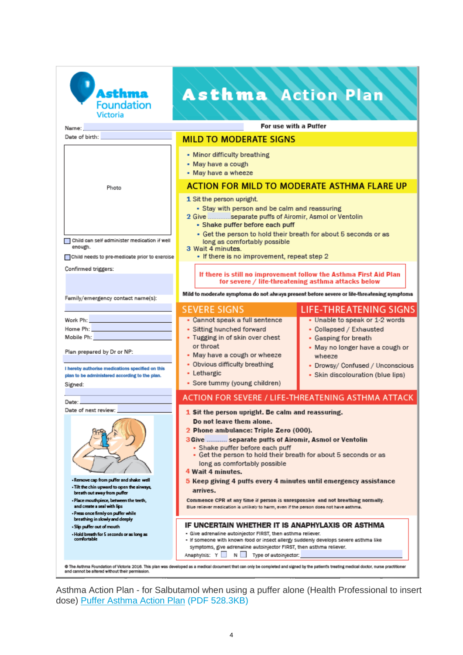| Asthma<br><b>Foundation</b><br><b>Victoria</b>                                                                                                                                                                                                                                                 | <b>Asthma</b> Action Plan                                                                                                                                                                                                                                                                                                                                                                                                                                                                                                                                                                           |                                                                                                                                |  |
|------------------------------------------------------------------------------------------------------------------------------------------------------------------------------------------------------------------------------------------------------------------------------------------------|-----------------------------------------------------------------------------------------------------------------------------------------------------------------------------------------------------------------------------------------------------------------------------------------------------------------------------------------------------------------------------------------------------------------------------------------------------------------------------------------------------------------------------------------------------------------------------------------------------|--------------------------------------------------------------------------------------------------------------------------------|--|
| Name:                                                                                                                                                                                                                                                                                          | For use with a Puffer                                                                                                                                                                                                                                                                                                                                                                                                                                                                                                                                                                               |                                                                                                                                |  |
| Date of birth:                                                                                                                                                                                                                                                                                 | <b>MILD TO MODERATE SIGNS</b>                                                                                                                                                                                                                                                                                                                                                                                                                                                                                                                                                                       |                                                                                                                                |  |
|                                                                                                                                                                                                                                                                                                | • Minor difficulty breathing<br>• May have a cough<br>• May have a wheeze                                                                                                                                                                                                                                                                                                                                                                                                                                                                                                                           |                                                                                                                                |  |
| Photo                                                                                                                                                                                                                                                                                          | <b>ACTION FOR MILD TO MODERATE ASTHMA FLARE UP</b>                                                                                                                                                                                                                                                                                                                                                                                                                                                                                                                                                  |                                                                                                                                |  |
| Child can self administer medication if well<br>enough.<br>Child needs to pre-medicate prior to exercise                                                                                                                                                                                       | 1 Sit the person upright.<br>· Stay with person and be calm and reassuring<br>2 Give  separate puffs of Airomir, Asmol or Ventolin<br>- Shake puffer before each puff<br>• Get the person to hold their breath for about 5 seconds or as<br>long as comfortably possible<br>3 Wait 4 minutes.<br>• If there is no improvement, repeat step 2                                                                                                                                                                                                                                                        |                                                                                                                                |  |
| Confirmed triggers:                                                                                                                                                                                                                                                                            |                                                                                                                                                                                                                                                                                                                                                                                                                                                                                                                                                                                                     |                                                                                                                                |  |
|                                                                                                                                                                                                                                                                                                | If there is still no improvement follow the Asthma First Aid Plan<br>for severe / life-threatening asthma attacks below<br>Mild to moderate symptoms do not always present before severe or life-threatening symptoms                                                                                                                                                                                                                                                                                                                                                                               |                                                                                                                                |  |
| Family/emergency contact name(s):                                                                                                                                                                                                                                                              |                                                                                                                                                                                                                                                                                                                                                                                                                                                                                                                                                                                                     |                                                                                                                                |  |
|                                                                                                                                                                                                                                                                                                | <b>SEVERE SIGNS</b>                                                                                                                                                                                                                                                                                                                                                                                                                                                                                                                                                                                 | <b>LIFE-THREATENING SIGNS</b>                                                                                                  |  |
| Work Ph: William Philipps<br>Home Ph: <b>All Accounts</b><br>Mobile Ph: William Company<br>Plan prepared by Dr or NP:                                                                                                                                                                          | • Cannot speak a full sentence<br>• Sitting hunched forward<br>• Tugging in of skin over chest<br>or throat<br>• May have a cough or wheeze                                                                                                                                                                                                                                                                                                                                                                                                                                                         | • Unable to speak or 1-2 words<br>• Collapsed / Exhausted<br>• Gasping for breath<br>• May no longer have a cough or<br>wheeze |  |
| I hereby authorise medications specified on this<br>plan to be administered according to the plan.<br>Signed:                                                                                                                                                                                  | • Obvious difficulty breathing<br>• Lethargic<br>• Sore tummy (young children)                                                                                                                                                                                                                                                                                                                                                                                                                                                                                                                      | • Drowsy/ Confused / Unconscious<br>· Skin discolouration (blue lips)                                                          |  |
| Date:                                                                                                                                                                                                                                                                                          |                                                                                                                                                                                                                                                                                                                                                                                                                                                                                                                                                                                                     | ACTION FOR SEVERE / LIFE-THREATENING ASTHMA ATTACK                                                                             |  |
| Date of next review:                                                                                                                                                                                                                                                                           |                                                                                                                                                                                                                                                                                                                                                                                                                                                                                                                                                                                                     |                                                                                                                                |  |
| - Remove cap from puffer and shake well<br>- Tilt the chin upward to open the airways,<br>breath out away from puffer<br>- Place mouthpiece, between the teeth,<br>and create a seal with lips<br>- Press once firmly on puffer while                                                          | Sit the person upright. Be calm and reassuring.<br>Do not leave them alone.<br>2 Phone ambulance: Triple Zero (000).<br>3 Give  separate puffs of Airomir, Asmol or Ventolin<br>• Shake puffer before each puff<br>• Get the person to hold their breath for about 5 seconds or as<br>long as comfortably possible<br>4 Wait 4 minutes.<br>5 Keep giving 4 puffs every 4 minutes until emergency assistance<br>arrives.<br>Commence CPR at any time if person is unresponsive and not breathing normally.<br>Blue reliever medication is unlikely to harm, even if the person does not have asthma. |                                                                                                                                |  |
| breathing in slowly and deeply<br>- Slip puffer out of mouth<br>- Hold breath for 5 seconds or as long as<br>comfortable                                                                                                                                                                       | IF UNCERTAIN WHETHER IT IS ANAPHYLAXIS OR ASTHMA<br>- Give adrenaline autoinjector FIRST, then asthma reliever.<br>- If someone with known food or insect allergy suddenly develops severe asthma like<br>symptoms, give adrenaline autoinjector FIRST, then asthma reliever.                                                                                                                                                                                                                                                                                                                       |                                                                                                                                |  |
| Anaphytxis: Y<br>Type of autoinjector:<br>N I<br>@ The Asthma Foundation of Victoria 2016. This plan was developed as a medical document that can only be completed and signed by the patient's treating medical doctor, nurse practitioner<br>and cannot be altered without their permission. |                                                                                                                                                                                                                                                                                                                                                                                                                                                                                                                                                                                                     |                                                                                                                                |  |

Asthma Action Plan - for Salbutamol when using a puffer alone (Health Professional to insert dose) [Puffer Asthma Action Plan](https://www.asthmaaustralia.org.au/ArticleDocuments/1701/Asthma_Action_Plan_for_Victorian_Puffer%20Only.pdf.aspx) (PDF 528.3KB)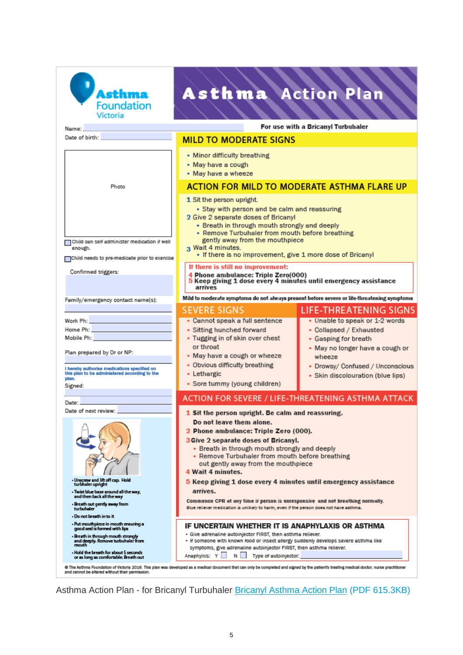| Asthma<br><b>Foundation</b><br><b>Victoria</b><br>Name:                                                                                                                                                                                                                                                                                                                                                         | <b>Asthma</b> Action Plan                                                                                                                                                                                                                                                                                                                                                                                                                                                                                                                                                                                                                                                                                                                                                                                                                                                                                                                                                                                                                                                                                                | For use with a Bricanyl Turbuhaler                                                                                                                                                                      |
|-----------------------------------------------------------------------------------------------------------------------------------------------------------------------------------------------------------------------------------------------------------------------------------------------------------------------------------------------------------------------------------------------------------------|--------------------------------------------------------------------------------------------------------------------------------------------------------------------------------------------------------------------------------------------------------------------------------------------------------------------------------------------------------------------------------------------------------------------------------------------------------------------------------------------------------------------------------------------------------------------------------------------------------------------------------------------------------------------------------------------------------------------------------------------------------------------------------------------------------------------------------------------------------------------------------------------------------------------------------------------------------------------------------------------------------------------------------------------------------------------------------------------------------------------------|---------------------------------------------------------------------------------------------------------------------------------------------------------------------------------------------------------|
| Date of birth:                                                                                                                                                                                                                                                                                                                                                                                                  | <b>MILD TO MODERATE SIGNS</b>                                                                                                                                                                                                                                                                                                                                                                                                                                                                                                                                                                                                                                                                                                                                                                                                                                                                                                                                                                                                                                                                                            |                                                                                                                                                                                                         |
|                                                                                                                                                                                                                                                                                                                                                                                                                 | • Minor difficulty breathing<br>• May have a cough<br>• May have a wheeze                                                                                                                                                                                                                                                                                                                                                                                                                                                                                                                                                                                                                                                                                                                                                                                                                                                                                                                                                                                                                                                |                                                                                                                                                                                                         |
| Photo                                                                                                                                                                                                                                                                                                                                                                                                           | <b>ACTION FOR MILD TO MODERATE ASTHMA FLARE UP</b>                                                                                                                                                                                                                                                                                                                                                                                                                                                                                                                                                                                                                                                                                                                                                                                                                                                                                                                                                                                                                                                                       |                                                                                                                                                                                                         |
| ∩Child can self administer medication if well<br>enough.<br>Child needs to pre-medicate prior to exercise<br>Confirmed triggers:                                                                                                                                                                                                                                                                                | 1 Sit the person upright.<br>• Stay with person and be calm and reassuring<br>2 Give 2 separate doses of Bricanyl<br>• Breath in through mouth strongly and deeply<br>• Remove Turbuhaler from mouth before breathing<br>gently away from the mouthpiece<br>3 Wait 4 minutes.<br>• If there is no improvement, give 1 more dose of Bricanyl<br>If there is still no improvement:                                                                                                                                                                                                                                                                                                                                                                                                                                                                                                                                                                                                                                                                                                                                         |                                                                                                                                                                                                         |
|                                                                                                                                                                                                                                                                                                                                                                                                                 | 4 Phone ambulance: Triple Zero(000)<br>5 Keep giving 1 dose every 4 minutes until emergency assistance<br>arrives                                                                                                                                                                                                                                                                                                                                                                                                                                                                                                                                                                                                                                                                                                                                                                                                                                                                                                                                                                                                        |                                                                                                                                                                                                         |
| Family/emergency contact name(s):                                                                                                                                                                                                                                                                                                                                                                               | <b>SEVERE SIGNS</b>                                                                                                                                                                                                                                                                                                                                                                                                                                                                                                                                                                                                                                                                                                                                                                                                                                                                                                                                                                                                                                                                                                      | Mild to moderate symptoms do not always present before severe or life-threatening symptoms<br><b>LIFE-THREATENING SIGNS</b>                                                                             |
| Work Ph: William March 2014<br>Mobile Ph: North State State State State State State State State State State State State State State State State State State State State State State State State State State State State State State State State State State S<br>Plan prepared by Dr or NP:<br>I hereby authorise medications specified on<br>this plan to be administered according to the<br>plan.<br>Signed: | • Cannot speak a full sentence<br>• Sitting hunched forward<br>• Tugging in of skin over chest<br>or throat<br>• May have a cough or wheeze<br>• Obvious difficulty breathing<br>• Lethargic<br>• Sore tummy (young children)                                                                                                                                                                                                                                                                                                                                                                                                                                                                                                                                                                                                                                                                                                                                                                                                                                                                                            | • Unable to speak or 1-2 words<br>• Collapsed / Exhausted<br>• Gasping for breath<br>• May no longer have a cough or<br>wheeze<br>• Drowsy/ Confused / Unconscious<br>· Skin discolouration (blue lips) |
|                                                                                                                                                                                                                                                                                                                                                                                                                 |                                                                                                                                                                                                                                                                                                                                                                                                                                                                                                                                                                                                                                                                                                                                                                                                                                                                                                                                                                                                                                                                                                                          | ACTION FOR SEVERE / LIFE-THREATENING ASTHMA ATTACK                                                                                                                                                      |
| Date:<br>Date of next review:<br>- Unscrew and lift off cap. Hold<br>turbhaler upright<br>- Twist blue base around all the way,<br>and then back all the way<br>- Breath out gently away from<br>turbuhaler<br>- Do not breath in to it                                                                                                                                                                         | 1 Sit the person upright. Be calm and reassuring.<br>Do not leave them alone.<br>2 Phone ambulance: Triple Zero (000).<br>3 Give 2 separate doses of Bricanyl.<br>• Breath in through mouth strongly and deeply<br>• Remove Turbuhaler from mouth before breathing<br>out gently away from the mouthpiece<br>4 Wait 4 minutes.<br>5 Keep giving 1 dose every 4 minutes until emergency assistance<br>arrives.<br>Commence CPR at any time if person is unresponsive and not breathing normally.<br>Blue reliever medication is unlikely to harm, even if the person does not have asthma.<br>IF UNCERTAIN WHETHER IT IS ANAPHYLAXIS OR ASTHMA<br>- Give adrenaline autoinjector FIRST, then asthma reliever.<br>- If someone with known food or insect allergy suddenly develops severe asthma like<br>symptoms, give adrenaline autoinjector FIRST, then asthma reliever.<br>Anaphylxis: Y<br>Type of autoinjector:<br>N.<br>© The Asthma Foundation of Victoria 2016. This plan was developed as a medical document that can only be completed and signed by the patient's treating medical doctor, nurse practitioner |                                                                                                                                                                                                         |
| - Put mouthpiece in mouth ensuring a<br>good seal is formed with lips<br>- Breath in through mouth strongly<br>and deeply. Remove turbuhaler from<br>mouth<br>- Hold the breath for about 5 seconds<br>or as long as comfortable. Breath out<br>and cannot be altered without their permission.                                                                                                                 |                                                                                                                                                                                                                                                                                                                                                                                                                                                                                                                                                                                                                                                                                                                                                                                                                                                                                                                                                                                                                                                                                                                          |                                                                                                                                                                                                         |

Asthma Action Plan - for Bricanyl Turbuhaler **[Bricanyl Asthma Action Plan](https://www.asthmaaustralia.org.au/ArticleDocuments/1701/Asthma_Action_Plan_for_Victorian_Bricanyl.pdf.aspx) (PDF 615.3KB)**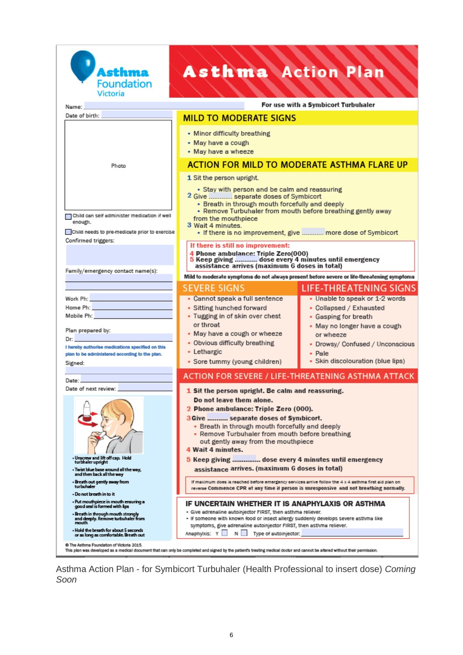

# Asthma Action Plan

| For use with a Symbicort Turbuhaler<br>Name:                                                                                                                                                                                                                                                                                                                                                                                                                                                                                                                                                                                                                                                                                                                                                                                                                                                                                                                                  |                                                                                                                                                                                                                                                    |  |  |
|-------------------------------------------------------------------------------------------------------------------------------------------------------------------------------------------------------------------------------------------------------------------------------------------------------------------------------------------------------------------------------------------------------------------------------------------------------------------------------------------------------------------------------------------------------------------------------------------------------------------------------------------------------------------------------------------------------------------------------------------------------------------------------------------------------------------------------------------------------------------------------------------------------------------------------------------------------------------------------|----------------------------------------------------------------------------------------------------------------------------------------------------------------------------------------------------------------------------------------------------|--|--|
| <b>MILD TO MODERATE SIGNS</b>                                                                                                                                                                                                                                                                                                                                                                                                                                                                                                                                                                                                                                                                                                                                                                                                                                                                                                                                                 |                                                                                                                                                                                                                                                    |  |  |
| • Minor difficulty breathing<br>• May have a cough<br>• May have a wheeze                                                                                                                                                                                                                                                                                                                                                                                                                                                                                                                                                                                                                                                                                                                                                                                                                                                                                                     |                                                                                                                                                                                                                                                    |  |  |
| <b>ACTION FOR MILD TO MODERATE ASTHMA FLARE UP</b>                                                                                                                                                                                                                                                                                                                                                                                                                                                                                                                                                                                                                                                                                                                                                                                                                                                                                                                            |                                                                                                                                                                                                                                                    |  |  |
| 1 Sit the person upright.<br>• Stay with person and be calm and reassuring<br>2 Give  separate doses of Symbicort<br>• Breath in through mouth forcefully and deeply<br>• Remove Turbuhaler from mouth before breathing gently away<br>from the mouthpiece<br>3 Wait 4 minutes.<br>. If there is no improvement, give  more dose of Symbicort                                                                                                                                                                                                                                                                                                                                                                                                                                                                                                                                                                                                                                 |                                                                                                                                                                                                                                                    |  |  |
| 4 Phone ambulance: Triple Zero(000)<br>5 Keep giving  dose every 4 minutes until emergency<br>assistance arrives (maximum 6 doses in total)                                                                                                                                                                                                                                                                                                                                                                                                                                                                                                                                                                                                                                                                                                                                                                                                                                   |                                                                                                                                                                                                                                                    |  |  |
|                                                                                                                                                                                                                                                                                                                                                                                                                                                                                                                                                                                                                                                                                                                                                                                                                                                                                                                                                                               | Mild to moderate symptoms do not always present before severe or life-threatening symptoms                                                                                                                                                         |  |  |
| • Cannot speak a full sentence<br>• Sitting hunched forward<br>• Tugging in of skin over chest<br>or throat<br>• May have a cough or wheeze<br>• Obvious difficulty breathing<br>• Lethargic                                                                                                                                                                                                                                                                                                                                                                                                                                                                                                                                                                                                                                                                                                                                                                                  | <b>LIFE-THREATENING SIGNS</b><br>• Unable to speak or 1-2 words<br>• Collapsed / Exhausted<br>• Gasping for breath<br>• May no longer have a cough<br>or wheeze<br>• Drowsy/ Confused / Unconscious<br>• Pale<br>• Skin discolouration (blue lips) |  |  |
|                                                                                                                                                                                                                                                                                                                                                                                                                                                                                                                                                                                                                                                                                                                                                                                                                                                                                                                                                                               |                                                                                                                                                                                                                                                    |  |  |
| 1 Sit the person upright. Be calm and reassuring.<br>Do not leave them alone.<br>2 Phone ambulance: Triple Zero (000).<br>3 Give  separate doses of Symbicort.<br>• Breath in through mouth forcefully and deeply<br>• Remove Turbuhaler from mouth before breathing<br>out gently away from the mouthpiece<br>4 Wait 4 minutes.<br>5 Keep giving  dose every 4 minutes until emergency<br>assistance arrives. (maximum 6 doses in total)<br>If maximum does is reached before emergency services arrive follow the 4 x 4 sathma first aid plan on<br>reverse Commence CPR at any time if person is unresponsive  and not breathing normally.<br>IF UNCERTAIN WHETHER IT IS ANAPHYLAXIS OR ASTHMA<br>- Give adrenaline autoinjector FIRST, then asthma reliever.<br>- If someone with known food or insect allergy suddenly develops severe asthma like<br>symptoms, give adrenaline autoinjector FIRST, then asthma reliever.<br>Anaphylxis: Y<br>N<br>Type of autoinjector: |                                                                                                                                                                                                                                                    |  |  |
| Child needs to pre-medicate prior to exercise                                                                                                                                                                                                                                                                                                                                                                                                                                                                                                                                                                                                                                                                                                                                                                                                                                                                                                                                 | If there is still no improvement:<br><b>SEVERE SIGNS</b><br>• Sore tummy (young children)<br>ACTION FOR SEVERE / LIFE-THREATENING ASTHMA ATTACK                                                                                                    |  |  |

This plan was developed as a medical document that can only be completed and signed by the patient's treating medical doctor and cannot be altered without their permission.

Asthma Action Plan - for Symbicort Turbuhaler (Health Professional to insert dose) *Coming Soon*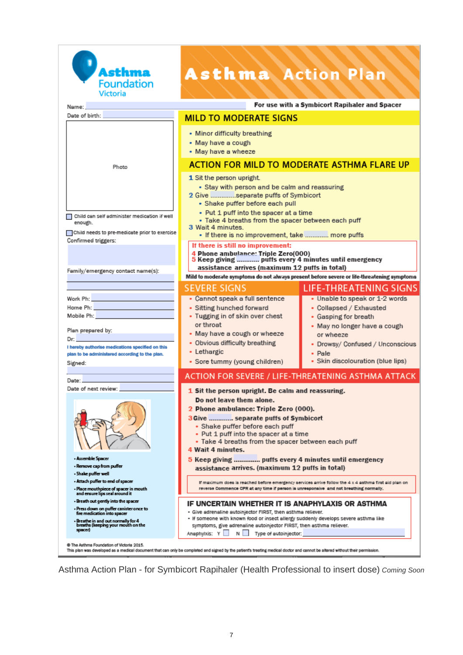

## **Asthma Action Plan**

For use with a Symbicort Rapihaler and Spacer Name: Date of birth: **MILD TO MODERATE SIGNS** • Minor difficulty breathing • May have a cough • May have a wheeze **ACTION FOR MILD TO MODERATE ASTHMA FLARE UP** Photo 1 Sit the person upright. • Stay with person and be calm and reassuring 2 Give ..............separate puffs of Symbicort • Shake puffer before each pull • Put 1 puff into the spacer at a time Child can self administer medication if well · Take 4 breaths from the spacer between each puff enough 3 Wait 4 minutes. Child needs to pre-medicate prior to exercise . If there is no improvement, take ............. more puffs Confirmed triggers: If there is still no improvement: 4 Phone ambulance: Triple Zero(000) 5 Keep giving ............. puffs every 4 minutes until emergency assistance arrives (maximum 12 puffs in total) Family/emergency contact name(s): Mild to moderate symptoms do not always present before severe or life-threatening symptoms **SEVERE SIGNS LIFE-THREATENING SIGNS** • Unable to speak or 1-2 words • Cannot speak a full sentence Work Ph: Home Ph: • Sitting hunched forward • Collapsed / Exhausted Mobile Ph: • Tugging in of skin over chest • Gasping for breath or throat • May no longer have a cough Plan prepared by: • May have a cough or wheeze or wheeze Dr: • Obvious difficulty breathing • Drowsy/ Confused / Unconscious I hereby authorise medications specified on this · Lethargic Pale plan to be administered according to the plan. · Skin discolouration (blue lips) • Sore tummy (young children) Signed: ACTION FOR SEVERE / LIFE-THREATENING ASTHMA ATTACK Date: Date of next review: 1 Sit the person upright. Be calm and reassuring. Do not leave them alone. 2 Phone ambulance: Triple Zero (000). 3 Give ............. separate puffs of Symbicort · Shake puffer before each puff • Put 1 puff into the spacer at a time · Take 4 breaths from the spacer between each puff 4 Wait 4 minutes. - Assemble Spacer 5 Keep giving .............. puffs every 4 minutes until emergency - Remove cap from puffer assistance arrives. (maximum 12 puffs in total) · Shake puffer well . Attach puffer to end of spacer If maximum does is reached before emergency services arrive follow the 4 x 4 asthma first aid plan on - Place mouthpiece of spacer in mouth<br>and ensure lips seal around it reverse Commence CPR at any time if person is unresponsive and not breathing normally. - Breath out gently into the spacer IF UNCERTAIN WHETHER IT IS ANAPHYLAXIS OR ASTHMA - Press down on puffer canister once to<br>fire medication into spacer - Give adrenaline autoinjector FIRST, then asthma reliever. - If someone with known food or insect allergy suddenly develops severe asthma like - Breathe in and out normally for 4<br>breaths (keeping your mouth on the symptoms, give adrenaline autoinjector FIRST, then asthma reliever. spacer) Anaphylxis: Y N N Type of autoinjector: @ The Asthma Foundation of Victoria 2015. 

Asthma Action Plan - for Symbicort Rapihaler (Health Professional to insert dose) *Coming Soon*